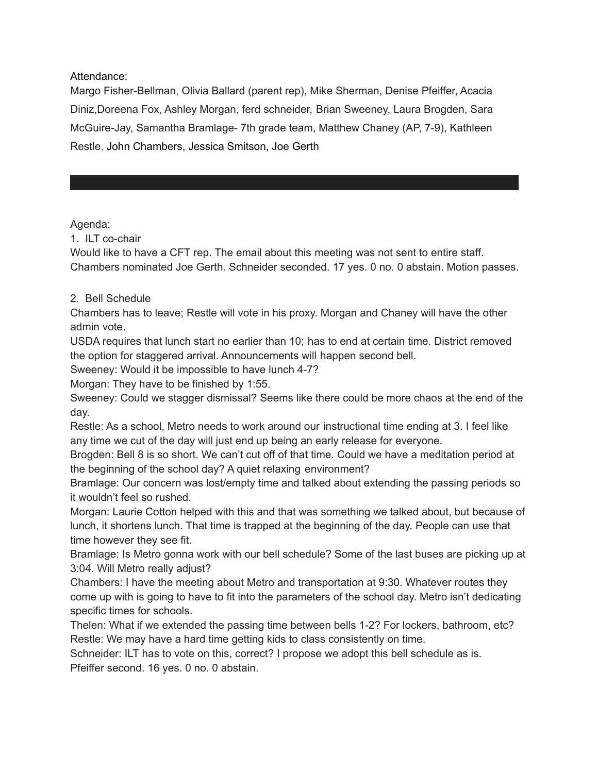Attendance:

Margo Fisher-Bellman, Olivia Ballard (parent rep), Mike Sherman, Denise Pfeiffer, Acacia Diniz,Doreena Fox, Ashley Morgan, ferd schneider, Brian Sweeney, Laura Brogden, Sara McGuire-Jay, Samantha Bramlage- 7th grade team, Matthew Chaney (AP, 7-9), Kathleen Restle, John Chambers, Jessica Smitson, Joe Gerth

Agenda:

1. ILT co-chair

Would like to have a CFT rep. The email about this meeting was not sent to entire staff. Chambers nominated Joe Gerth. Schneider seconded. 17 yes. 0 no. 0 abstain. Motion passes.

## 2. Bell Schedule

Chambers has to leave; Restle will vote in his proxy. Morgan and Chaney will have the other admin vote.

USDA requires that lunch start no earlier than 10; has to end at certain time. District removed the option for staggered arrival. Announcements will happen second bell.

Sweeney: Would it be impossible to have lunch 4-7?

Morgan: They have to be finished by 1:55.

Sweeney: Could we stagger dismissal? Seems like there could be more chaos at the end of the day.

Restle: As a school, Metro needs to work around our instructional time ending at 3. I feel like any time we cut of the day will just end up being an early release for everyone.

Brogden: Bell 8 is so short. We can't cut off of that time. Could we have a meditation period at the beginning of the school day? A quiet relaxing environment?

Bramlage: Our concern was lost/empty time and talked about extending the passing periods so it wouldn't feel so rushed.

Morgan: Laurie Cotton helped with this and that was something we talked about, but because of lunch, it shortens lunch. That time is trapped at the beginning of the day. People can use that time however they see fit.

Bramlage: Is Metro gonna work with our bell schedule? Some of the last buses are picking up at 3:04. Will Metro really adjust?

Chambers: I have the meeting about Metro and transportation at 9:30. Whatever routes they come up with is going to have to fit into the parameters of the school day. Metro isn't dedicating specific times for schools.

Thelen: What if we extended the passing time between bells 1-2? For lockers, bathroom, etc? Restle: We may have a hard time getting kids to class consistently on time.

Schneider: ILT has to vote on this, correct? I propose we adopt this bell schedule as is. Pfeiffer second. 16 yes. 0 no. 0 abstain.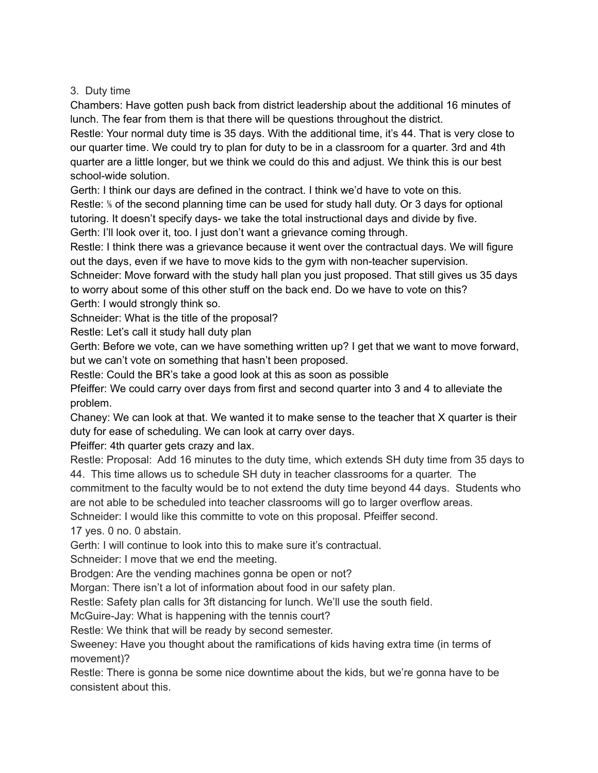## 3. Duty time

Chambers: Have gotten push back from district leadership about the additional 16 minutes of lunch. The fear from them is that there will be questions throughout the district.

Restle: Your normal duty time is 35 days. With the additional time, it's 44. That is very close to our quarter time. We could try to plan for duty to be in a classroom for a quarter. 3rd and 4th quarter are a little longer, but we think we could do this and adjust. We think this is our best school-wide solution.

Gerth: I think our days are defined in the contract. I think we'd have to vote on this. Restle: *\* of the second planning time can be used for study hall duty. Or 3 days for optional tutoring. It doesn't specify days- we take the total instructional days and divide by five. Gerth: I'll look over it, too. I just don't want a grievance coming through.

Restle: I think there was a grievance because it went over the contractual days. We will figure out the days, even if we have to move kids to the gym with non-teacher supervision.

Schneider: Move forward with the study hall plan you just proposed. That still gives us 35 days to worry about some of this other stuff on the back end. Do we have to vote on this?

Gerth: I would strongly think so.

Schneider: What is the title of the proposal?

Restle: Let's call it study hall duty plan

Gerth: Before we vote, can we have something written up? I get that we want to move forward, but we can't vote on something that hasn't been proposed.

Restle: Could the BR's take a good look at this as soon as possible

Pfeiffer: We could carry over days from first and second quarter into 3 and 4 to alleviate the problem.

Chaney: We can look at that. We wanted it to make sense to the teacher that X quarter is their duty for ease of scheduling. We can look at carry over days.

Pfeiffer: 4th quarter gets crazy and lax.

Restle: Proposal: Add 16 minutes to the duty time, which extends SH duty time from 35 days to 44. This time allows us to schedule SH duty in teacher classrooms for a quarter. The commitment to the faculty would be to not extend the duty time beyond 44 days. Students who

are not able to be scheduled into teacher classrooms will go to larger overflow areas.

Schneider: I would like this committe to vote on this proposal. Pfeiffer second.

17 yes. 0 no. 0 abstain.

Gerth: I will continue to look into this to make sure it's contractual.

Schneider: I move that we end the meeting.

Brodgen: Are the vending machines gonna be open or not?

Morgan: There isn't a lot of information about food in our safety plan.

Restle: Safety plan calls for 3ft distancing for lunch. We'll use the south field.

McGuire-Jay: What is happening with the tennis court?

Restle: We think that will be ready by second semester.

Sweeney: Have you thought about the ramifications of kids having extra time (in terms of movement)?

Restle: There is gonna be some nice downtime about the kids, but we're gonna have to be consistent about this.